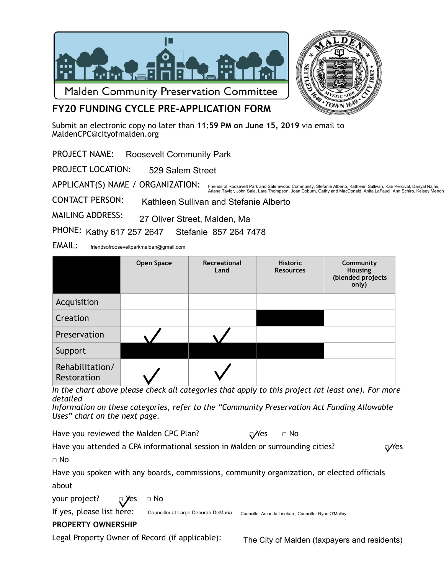



# **FY20 FUNDING CYCLE PRE-APPLICATION FORM**

Submit an electronic copy no later than **11:59 PM on June 15, 2019** via email to [MaldenCPC@cityofmalden.org](mailto:CPCMalden@gmail.com)

PROJECT NAME: Roosevelt Community Park

PROJECT LOCATION: 529 Salem Street

APPLICANT(S) NAME / ORGANIZATION: Friends of Roosevelt Park and Salemwood Community, Stefanie Alberto, Kathleen Sullivan, Kari Percival, Danyal Najmi,<br>Ariane Taylor, John Saia, Lara Thompson, Joan Coburn, Cathy and MacDonald, Anita LaFauci, Ann Schiro, Kel

CONTACT PERSON: Kathleen Sullivan and Stefanie Alberto

MAILING ADDRESS: 27 Oliver Street, Malden, Ma

PHONE: Kathy 617 257 2647 Stefanie 857 264 7478

EMAIL: friendsofrooseveltparkmalden@gmail.com

|                                | Open Space | Recreational<br>Land | <b>Historic</b><br><b>Resources</b> | Community<br>Housing<br>(blended projects<br>only) |
|--------------------------------|------------|----------------------|-------------------------------------|----------------------------------------------------|
| Acquisition                    |            |                      |                                     |                                                    |
| Creation                       |            |                      |                                     |                                                    |
| Preservation                   |            |                      |                                     |                                                    |
| Support                        |            |                      |                                     |                                                    |
| Rehabilitation/<br>Restoration |            |                      |                                     |                                                    |

*In the chart above please check all categories that apply to this project (at least one). For more detailed* 

*Information on these categories, refer to the "Community Preservation Act Funding Allowable Uses" chart on the next page.* 

Have you reviewed the Malden CPC Plan?  $\Box$  Yes  $\Box$  No

Have you attended a CPA informational session in Malden or surrounding cities?  $\Box$   $\Box$ 

 $\sqcap$  No

Have you spoken with any boards, commissions, community organization, or elected officials about

your project?  $\Box$  Yes  $\Box$  No

If yes, please list here:

Councillor at Large Deborah DeMaria Councillor Amanda Linehan , Councillor Ryan O'Malley

## **PROPERTY OWNERSHIP**

Legal Property Owner of Record (if applicable):

The City of Malden (taxpayers and residents)